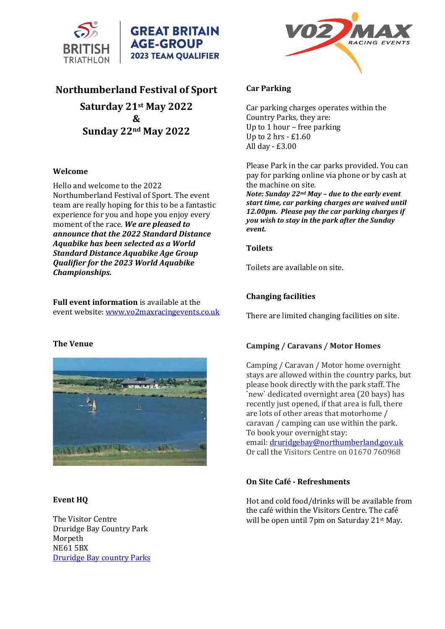

# **Northumberland Festival of Sport**

**Saturday 21st May 2022 & Sunday 22nd May 2022**

#### **Welcome**

Hello and welcome to the 2022 Northumberland Festival of Sport. The event team are really hoping for this to be a fantastic experience for you and hope you enjoy every moment of the race. *We are pleased to announce that the 2022 Standard Distance Aquabike has been selected as a World Standard Distance Aquabike Age Group Qualifier for the 2023 World Aquabike Championships.*

**Full event information** is available at the event website[: www.vo2maxracingevents.co.uk](http://www.vo2maxracingevents.co.uk/)

## **The Venue**



## **Event HQ**

The Visitor Centre Druridge Bay Country Park Morpeth NE61 5BX [Druridge Bay country Parks](https://www.northumberland.gov.uk/Local/Country-parks-visitor-centres-coastal-sitesPubl/Druridge-Bay-Country-Park-visitor-centre.aspx)



#### **Car Parking**

Car parking charges operates within the Country Parks, they are: Up to 1 hour – free parking Up to 2 hrs - £1.60 All day - £3.00

Please Park in the car parks provided. You can pay for parking online via phone or by cash at the machine on site.

*Note: Sunday 22nd May – due to the early event start time, car parking charges are waived until 12.00pm. Please pay the car parking charges if you wish to stay in the park after the Sunday event.*

#### **Toilets**

Toilets are available on site.

## **Changing facilities**

There are limited changing facilities on site.

## **Camping / Caravans / Motor Homes**

Camping / Caravan / Motor home overnight stays are allowed within the country parks, but please book directly with the park staff. The `new` dedicated overnight area (20 bays) has recently just opened, if that area is full, there are lots of other areas that motorhome / caravan / camping can use within the park. To book your overnight stay:

email: [druridgebay@northumberland.gov.uk](mailto:druridgebay@northumberland.gov.uk) Or call the Visitors Centre on 01670 760968

## **On Site Café - Refreshments**

Hot and cold food/drinks will be available from the café within the Visitors Centre. The café will be open until 7pm on Saturday 21st May.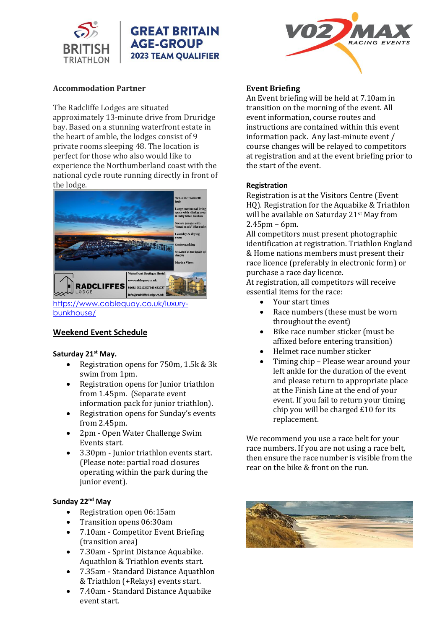

## **Accommodation Partner**

The Radcliffe Lodges are situated approximately 13-minute drive from Druridge bay. Based on a stunning waterfront estate in the heart of amble, the lodges consist of 9 private rooms sleeping 48. The location is perfect for those who also would like to experience the Northumberland coast with the national cycle route running directly in front of the lodge.



[https://www.coblequay.co.uk/luxury](https://www.coblequay.co.uk/luxury-bunkhouse/)[bunkhouse/](https://www.coblequay.co.uk/luxury-bunkhouse/)

# **Weekend Event Schedule**

## **Saturday 21st May.**

- Registration opens for 750m, 1.5k & 3k swim from 1pm.
- Registration opens for Junior triathlon from 1.45pm. (Separate event information pack for junior triathlon).
- Registration opens for Sunday's events from 2.45pm.
- 2pm Open Water Challenge Swim Events start.
- 3.30pm Junior triathlon events start. (Please note: partial road closures operating within the park during the junior event).

## **Sunday 22 nd May**

- Registration open 06:15am
- Transition opens 06:30am
- 7.10am Competitor Event Briefing (transition area)
- 7.30am Sprint Distance Aquabike. Aquathlon & Triathlon events start.
- 7.35am Standard Distance Aquathlon & Triathlon (+Relays) events start.
- 7.40am Standard Distance Aquabike event start.



#### **Event Briefing**

An Event briefing will be held at 7.10am in transition on the morning of the event. All event information, course routes and instructions are contained within this event information pack. Any last-minute event / course changes will be relayed to competitors at registration and at the event briefing prior to the start of the event.

## **Registration**

Registration is at the Visitors Centre (Event HQ). Registration for the Aquabike & Triathlon will be available on Saturday 21st May from 2.45pm – 6pm.

All competitors must present photographic identification at registration. Triathlon England & Home nations members must present their race licence (preferably in electronic form) or purchase a race day licence.

At registration, all competitors will receive essential items for the race:

- Your start times
- Race numbers (these must be worn throughout the event)
- Bike race number sticker (must be affixed before entering transition)
- Helmet race number sticker
- Timing chip Please wear around your left ankle for the duration of the event and please return to appropriate place at the Finish Line at the end of your event. If you fail to return your timing chip you will be charged £10 for its replacement.

We recommend you use a race belt for your race numbers. If you are not using a race belt, then ensure the race number is visible from the rear on the bike & front on the run.

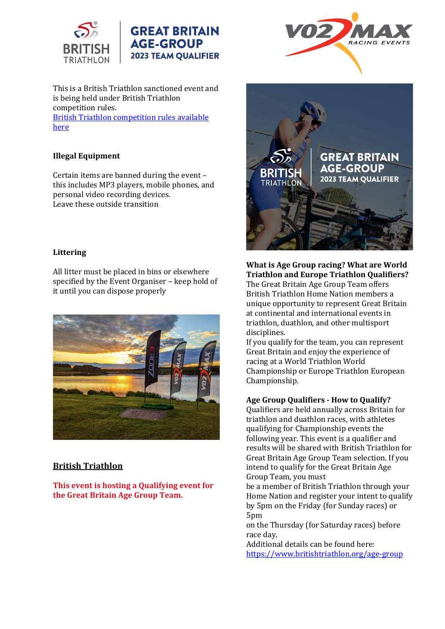

This is a British Triathlon sanctioned event and is being held under British Triathlon competition rules. [British Triathlon competition rules available](https://www.britishtriathlon.org/britain/documents/events/competition-rules/british-triathlon---know-the-rules-2018.pdf) 

[here](https://www.britishtriathlon.org/britain/documents/events/competition-rules/british-triathlon---know-the-rules-2018.pdf)

# **Illegal Equipment**

Certain items are banned during the event – this includes MP3 players, mobile phones, and personal video recording devices. Leave these outside transition

#### **Littering**

All litter must be placed in bins or elsewhere specified by the Event Organiser – keep hold of it until you can dispose properly



## **British Triathlon**

**This event is hosting a Qualifying event for the Great Britain Age Group Team.**





## **What is Age Group racing? What are World Triathlon and Europe Triathlon Qualifiers?** The Great Britain Age Group Team offers British Triathlon Home Nation members a unique opportunity to represent Great Britain at continental and international events in

triathlon, duathlon, and other multisport disciplines.

If you qualify for the team, you can represent Great Britain and enjoy the experience of racing at a World Triathlon World Championship or Europe Triathlon European Championship.

#### **Age Group Qualifiers - How to Qualify?**

Qualifiers are held annually across Britain for triathlon and duathlon races, with athletes qualifying for Championship events the following year. This event is a qualifier and results will be shared with British Triathlon for Great Britain Age Group Team selection. If you intend to qualify for the Great Britain Age Group Team, you must

be a member of British Triathlon through your Home Nation and register your intent to qualify by 5pm on the Friday (for Sunday races) or 5pm

on the Thursday (for Saturday races) before race day.

Additional details can be found here: <https://www.britishtriathlon.org/age-group>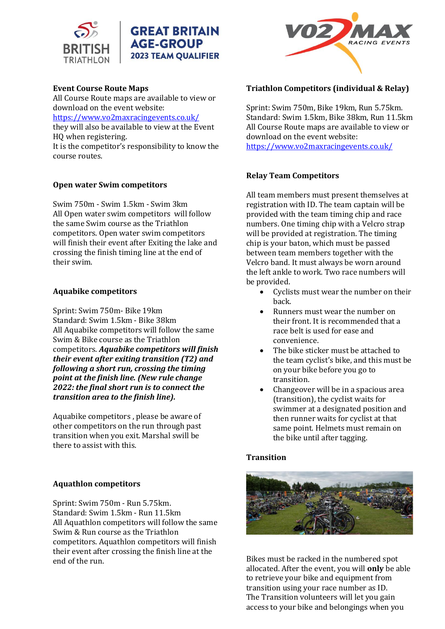



## **Event Course Route Maps**

All Course Route maps are available to view or download on the event website:

[https://www.vo2maxracingevents.co.uk/](https://www.vo2maxracingevents.co.uk/events/1)

they will also be available to view at the Event HQ when registering.

It is the competitor's responsibility to know the course routes.

#### **Open water Swim competitors**

Swim 750m - Swim 1.5km - Swim 3km All Open water swim competitors will follow the same Swim course as the Triathlon competitors. Open water swim competitors will finish their event after Exiting the lake and crossing the finish timing line at the end of their swim.

#### **Aquabike competitors**

Sprint: Swim 750m- Bike 19km Standard: Swim 1.5km - Bike 38km All Aquabike competitors will follow the same Swim & Bike course as the Triathlon competitors. *Aquabike competitors will finish their event after exiting transition (T2) and following a short run, crossing the timing point at the finish line. (New rule change 2022: the final short run is to connect the transition area to the finish line).*

Aquabike competitors , please be aware of other competitors on the run through past transition when you exit. Marshal swill be there to assist with this.

#### **Aquathlon competitors**

Sprint: Swim 750m - Run 5.75km. Standard: Swim 1.5km - Run 11.5km All Aquathlon competitors will follow the same Swim & Run course as the Triathlon competitors. Aquathlon competitors will finish their event after crossing the finish line at the end of the run.



## **Triathlon Competitors (individual & Relay)**

Sprint: Swim 750m, Bike 19km, Run 5.75km. Standard: Swim 1.5km, Bike 38km, Run 11.5km All Course Route maps are available to view or download on the event website: <https://www.vo2maxracingevents.co.uk/>

#### **Relay Team Competitors**

All team members must present themselves at registration with ID. The team captain will be provided with the team timing chip and race numbers. One timing chip with a Velcro strap will be provided at registration. The timing chip is your baton, which must be passed between team members together with the Velcro band. It must always be worn around the left ankle to work. Two race numbers will be provided.

- Cyclists must wear the number on their back.
- Runners must wear the number on their front. It is recommended that a race belt is used for ease and convenience.
- The bike sticker must be attached to the team cyclist's bike, and this must be on your bike before you go to transition.
- Changeover will be in a spacious area (transition), the cyclist waits for swimmer at a designated position and then runner waits for cyclist at that same point. Helmets must remain on the bike until after tagging.

#### **Transition**



Bikes must be racked in the numbered spot allocated. After the event, you will **only** be able to retrieve your bike and equipment from transition using your race number as ID. The Transition volunteers will let you gain access to your bike and belongings when you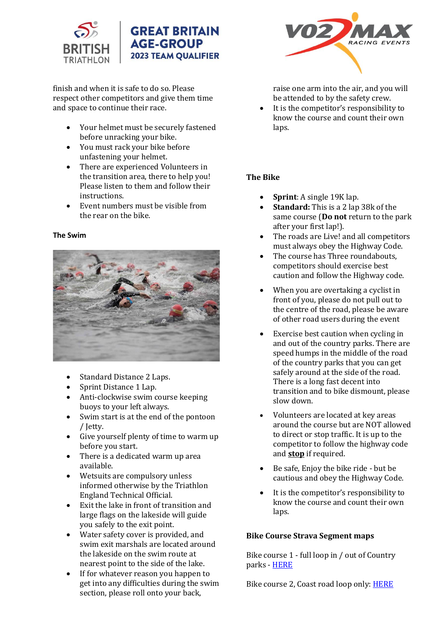

finish and when it is safe to do so. Please respect other competitors and give them time and space to continue their race.

- Your helmet must be securely fastened before unracking your bike.
- You must rack your bike before unfastening your helmet.
- There are experienced Volunteers in the transition area, there to help you! Please listen to them and follow their instructions.
- Event numbers must be visible from the rear on the bike.

#### **The Swim**



- Standard Distance 2 Laps.
- Sprint Distance 1 Lap.
- Anti-clockwise swim course keeping buoys to your left always.
- Swim start is at the end of the pontoon / Jetty.
- Give yourself plenty of time to warm up before you start.
- There is a dedicated warm up area available.
- Wetsuits are compulsory unless informed otherwise by the Triathlon England Technical Official.
- Exit the lake in front of transition and large flags on the lakeside will guide you safely to the exit point.
- Water safety cover is provided, and swim exit marshals are located around the lakeside on the swim route at nearest point to the side of the lake.
- If for whatever reason you happen to get into any difficulties during the swim section, please roll onto your back,



raise one arm into the air, and you will be attended to by the safety crew.

It is the competitor's responsibility to know the course and count their own laps.

## **The Bike**

- **Sprint**: A single 19K lap.
- **Standard:** This is a 2 lap 38k of the same course (**Do not** return to the park after your first lap!).
- The roads are Live! and all competitors must always obey the Highway Code.
- The course has Three roundabouts, competitors should exercise best caution and follow the Highway code.
- When you are overtaking a cyclist in front of you, please do not pull out to the centre of the road, please be aware of other road users during the event
- Exercise best caution when cycling in and out of the country parks. There are speed humps in the middle of the road of the country parks that you can get safely around at the side of the road. There is a long fast decent into transition and to bike dismount, please slow down.
- Volunteers are located at key areas around the course but are NOT allowed to direct or stop traffic. It is up to the competitor to follow the highway code and **stop** if required.
- Be safe, Enjoy the bike ride but be cautious and obey the Highway Code.
- It is the competitor's responsibility to know the course and count their own laps.

## **Bike Course Strava Segment maps**

Bike course 1 - full loop in / out of Country parks - [HERE](https://www.strava.com/segments/22709586?invite=true&fbclid=IwAR3bOBoOKNfn5DxMChXzqpL_l2gZmmqnI1iVKmCPeXoT2z42dlAWHrBtmVg&_branch_match_id=863350585907583226)

Bike course 2, Coast road loop only: **HERE**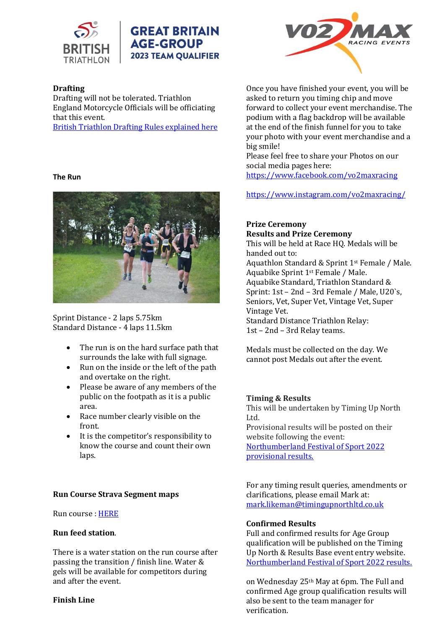

# **Drafting**

Drafting will not be tolerated. Triathlon England Motorcycle Officials will be officiating that this event.

[British Triathlon Drafting Rules explained here](https://www.britishtriathlon.org/britain/documents/events/competition-rules/british-triathlon---drafting-rules-explained-2018.pdf)

#### **The Run**



Sprint Distance - 2 laps 5.75km Standard Distance - 4 laps 11.5km

- The run is on the hard surface path that surrounds the lake with full signage.
- Run on the inside or the left of the path and overtake on the right.
- Please be aware of any members of the public on the footpath as it is a public area.
- Race number clearly visible on the front.
- It is the competitor's responsibility to know the course and count their own laps.

## **Run Course Strava Segment maps**

Run course [: HERE](https://www.strava.com/segments/28227614?invite=true&fbclid=IwAR2vte6rYi1OMIAFDIDmzPBy1HDT9lOQyJh4f62cK_cdkRFlaUlpAlQ-vC4&_branch_match_id=863350585907583226)

## **Run feed station**.

There is a water station on the run course after passing the transition / finish line. Water & gels will be available for competitors during and after the event.

#### **Finish Line**



Once you have finished your event, you will be asked to return you timing chip and move forward to collect your event merchandise. The podium with a flag backdrop will be available at the end of the finish funnel for you to take your photo with your event merchandise and a big smile!

Please feel free to share your Photos on our social media pages here: <https://www.facebook.com/vo2maxracing>

<https://www.instagram.com/vo2maxracing/>

## **Prize Ceremony**

**Results and Prize Ceremony** This will be held at Race HQ. Medals will be handed out to: Aquathlon Standard & Sprint 1st Female / Male. Aquabike Sprint 1st Female / Male. Aquabike Standard, Triathlon Standard & Sprint: 1st – 2nd – 3rd Female / Male, U20`s, Seniors, Vet, Super Vet, Vintage Vet, Super Vintage Vet. Standard Distance Triathlon Relay: 1st – 2nd – 3rd Relay teams.

Medals must be collected on the day. We cannot post Medals out after the event.

## **Timing & Results**

This will be undertaken by Timing Up North Ltd.

Provisional results will be posted on their website following the event: [Northumberland Festival of Sport 2022](https://www.resultsbase.net/event/6060) 

[provisional results.](https://www.resultsbase.net/event/6060)

For any timing result queries, amendments or clarifications, please email Mark at: [mark.likeman@timingupnorthltd.co.uk](mailto:mark.likeman@timingupnorthltd.co.uk)

## **Confirmed Results**

Full and confirmed results for Age Group qualification will be published on the Timing Up North & Results Base event entry website. [Northumberland Festival of Sport 2022 results.](https://www.resultsbase.net/event/6060)

on Wednesday 25th May at 6pm. The Full and confirmed Age group qualification results will also be sent to the team manager for verification.